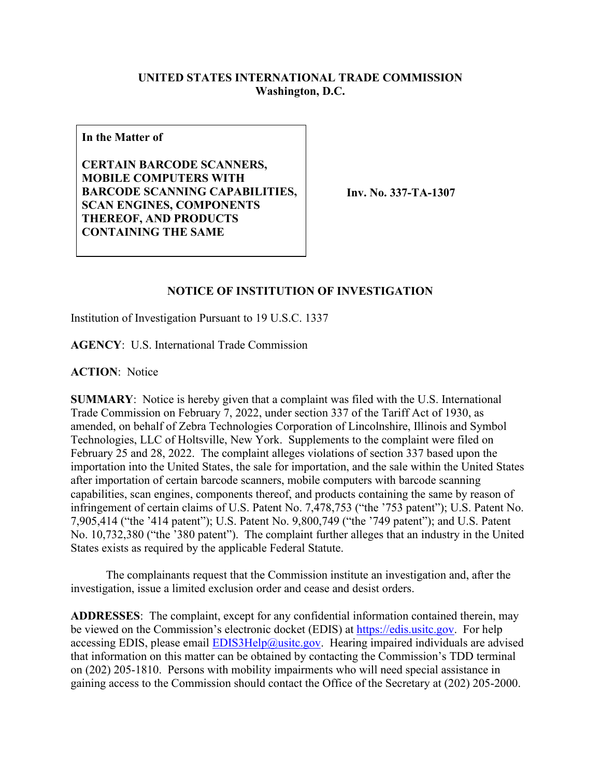## **UNITED STATES INTERNATIONAL TRADE COMMISSION Washington, D.C.**

**In the Matter of**

**CERTAIN BARCODE SCANNERS, MOBILE COMPUTERS WITH BARCODE SCANNING CAPABILITIES, SCAN ENGINES, COMPONENTS THEREOF, AND PRODUCTS CONTAINING THE SAME**

**Inv. No. 337-TA-1307**

## **NOTICE OF INSTITUTION OF INVESTIGATION**

Institution of Investigation Pursuant to 19 U.S.C. 1337

**AGENCY**: U.S. International Trade Commission

**ACTION**: Notice

**SUMMARY**: Notice is hereby given that a complaint was filed with the U.S. International Trade Commission on February 7, 2022, under section 337 of the Tariff Act of 1930, as amended, on behalf of Zebra Technologies Corporation of Lincolnshire, Illinois and Symbol Technologies, LLC of Holtsville, New York. Supplements to the complaint were filed on February 25 and 28, 2022. The complaint alleges violations of section 337 based upon the importation into the United States, the sale for importation, and the sale within the United States after importation of certain barcode scanners, mobile computers with barcode scanning capabilities, scan engines, components thereof, and products containing the same by reason of infringement of certain claims of U.S. Patent No. 7,478,753 ("the '753 patent"); U.S. Patent No. 7,905,414 ("the '414 patent"); U.S. Patent No. 9,800,749 ("the '749 patent"); and U.S. Patent No. 10,732,380 ("the '380 patent"). The complaint further alleges that an industry in the United States exists as required by the applicable Federal Statute.

 The complainants request that the Commission institute an investigation and, after the investigation, issue a limited exclusion order and cease and desist orders.

**ADDRESSES**: The complaint, except for any confidential information contained therein, may be viewed on the Commission's electronic docket (EDIS) at [https://edis.usitc.gov.](https://edis.usitc.gov/) For help accessing EDIS, please email  $EDIS3Help@usite.gov$ . Hearing impaired individuals are advised that information on this matter can be obtained by contacting the Commission's TDD terminal on (202) 205-1810. Persons with mobility impairments who will need special assistance in gaining access to the Commission should contact the Office of the Secretary at (202) 205-2000.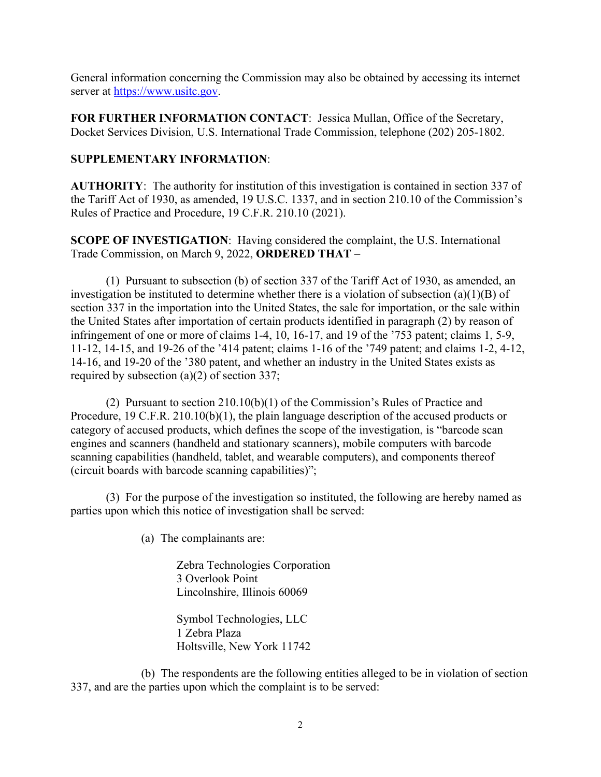General information concerning the Commission may also be obtained by accessing its internet server at [https://www.usitc.gov.](https://www.usitc.gov/)

**FOR FURTHER INFORMATION CONTACT**: Jessica Mullan, Office of the Secretary, Docket Services Division, U.S. International Trade Commission, telephone (202) 205-1802.

## **SUPPLEMENTARY INFORMATION**:

**AUTHORITY**: The authority for institution of this investigation is contained in section 337 of the Tariff Act of 1930, as amended, 19 U.S.C. 1337, and in section 210.10 of the Commission's Rules of Practice and Procedure, 19 C.F.R. 210.10 (2021).

**SCOPE OF INVESTIGATION**: Having considered the complaint, the U.S. International Trade Commission, on March 9, 2022, **ORDERED THAT** –

 (1) Pursuant to subsection (b) of section 337 of the Tariff Act of 1930, as amended, an investigation be instituted to determine whether there is a violation of subsection (a)(1)(B) of section 337 in the importation into the United States, the sale for importation, or the sale within the United States after importation of certain products identified in paragraph (2) by reason of infringement of one or more of claims 1-4, 10, 16-17, and 19 of the '753 patent; claims 1, 5-9, 11-12, 14-15, and 19-26 of the '414 patent; claims 1-16 of the '749 patent; and claims 1-2, 4-12, 14-16, and 19-20 of the '380 patent, and whether an industry in the United States exists as required by subsection (a)(2) of section 337;

(2) Pursuant to section 210.10(b)(1) of the Commission's Rules of Practice and Procedure, 19 C.F.R. 210.10(b)(1), the plain language description of the accused products or category of accused products, which defines the scope of the investigation, is "barcode scan engines and scanners (handheld and stationary scanners), mobile computers with barcode scanning capabilities (handheld, tablet, and wearable computers), and components thereof (circuit boards with barcode scanning capabilities)";

 (3) For the purpose of the investigation so instituted, the following are hereby named as parties upon which this notice of investigation shall be served:

(a) The complainants are:

Zebra Technologies Corporation 3 Overlook Point Lincolnshire, Illinois 60069

Symbol Technologies, LLC 1 Zebra Plaza Holtsville, New York 11742

 (b) The respondents are the following entities alleged to be in violation of section 337, and are the parties upon which the complaint is to be served: